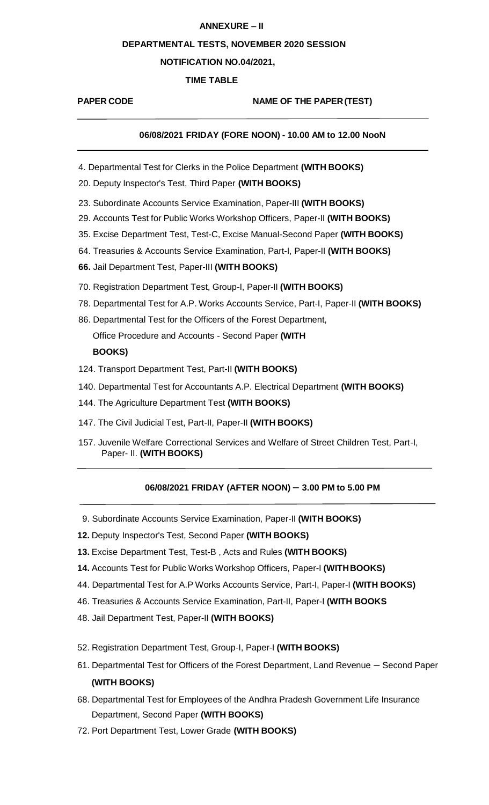## **ANNEXURE** – **II**

#### **DEPARTMENTAL TESTS, NOVEMBER 2020 SESSION**

# **NOTIFICATION NO.04/2021,**

# **TIME TABLE**

# **PAPER CODE NAME OF THE PAPER(TEST)**

# **06/08/2021 FRIDAY (FORE NOON) - 10.00 AM to 12.00 NooN**

- 4. Departmental Test for Clerks in the Police Department **(WITH BOOKS)**
- 20. Deputy Inspector's Test, Third Paper **(WITH BOOKS)**
- 23. Subordinate Accounts Service Examination, Paper-III **(WITH BOOKS)**
- 29. Accounts Test for Public Works Workshop Officers, Paper-II **(WITH BOOKS)**
- 35. Excise Department Test, Test-C, Excise Manual-Second Paper **(WITH BOOKS)**
- 64. Treasuries & Accounts Service Examination, Part-I, Paper-II **(WITH BOOKS)**
- **66.** Jail Department Test, Paper-III **(WITH BOOKS)**
- 70. Registration Department Test, Group-I, Paper-II **(WITH BOOKS)**
- 78. Departmental Test for A.P. Works Accounts Service, Part-I, Paper-II **(WITH BOOKS)**
- 86. Departmental Test for the Officers of the Forest Department, Office Procedure and Accounts - Second Paper **(WITH BOOKS)**
- 124. Transport Department Test, Part-II **(WITH BOOKS)**
- 140. Departmental Test for Accountants A.P. Electrical Department **(WITH BOOKS)**
- 144. The Agriculture Department Test **(WITH BOOKS)**
- 147. The Civil Judicial Test, Part-II, Paper-II **(WITH BOOKS)**
- 157. Juvenile Welfare Correctional Services and Welfare of Street Children Test, Part-I, Paper- II. **(WITH BOOKS)**

## **06/08/2021 FRIDAY (AFTER NOON)** – **3.00 PM to 5.00 PM**

- 9. Subordinate Accounts Service Examination, Paper-II **(WITH BOOKS)**
- **12.** Deputy Inspector's Test, Second Paper **(WITH BOOKS)**
- **13.** Excise Department Test, Test-B , Acts and Rules **(WITH BOOKS)**
- **14.** Accounts Test for Public Works Workshop Officers, Paper-I **(WITHBOOKS)**
- 44. Departmental Test for A.P Works Accounts Service, Part-I, Paper-I **(WITH BOOKS)**
- 46. Treasuries & Accounts Service Examination, Part-II, Paper-I **(WITH BOOKS**
- 48. Jail Department Test, Paper-II **(WITH BOOKS)**
- 52. Registration Department Test, Group-I, Paper-I **(WITH BOOKS)**
- 61. Departmental Test for Officers of the Forest Department, Land Revenue Second Paper **(WITH BOOKS)**
- 68. Departmental Test for Employees of the Andhra Pradesh Government Life Insurance Department, Second Paper **(WITH BOOKS)**
- 72. Port Department Test, Lower Grade **(WITH BOOKS)**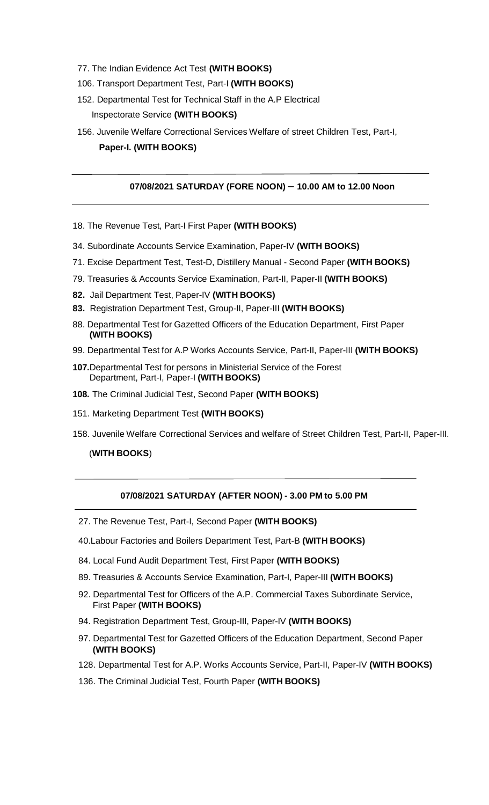- 77. The Indian Evidence Act Test **(WITH BOOKS)**
- 106. Transport Department Test, Part-I **(WITH BOOKS)**
- 152. Departmental Test for Technical Staff in the A.P Electrical Inspectorate Service **(WITH BOOKS)**
- 156. Juvenile Welfare Correctional Services Welfare of street Children Test, Part-I, **Paper-I. (WITH BOOKS)**

## **07/08/2021 SATURDAY (FORE NOON)** – **10.00 AM to 12.00 Noon**

- 18. The Revenue Test, Part-I First Paper **(WITH BOOKS)**
- 34. Subordinate Accounts Service Examination, Paper-IV **(WITH BOOKS)**
- 71. Excise Department Test, Test-D, Distillery Manual Second Paper **(WITH BOOKS)**
- 79. Treasuries & Accounts Service Examination, Part-II, Paper-II **(WITH BOOKS)**
- **82.** Jail Department Test, Paper-IV **(WITH BOOKS)**
- **83.** Registration Department Test, Group-II, Paper-III **(WITH BOOKS)**
- 88. Departmental Test for Gazetted Officers of the Education Department, First Paper **(WITH BOOKS)**
- 99. Departmental Test for A.P Works Accounts Service, Part-II, Paper-III **(WITH BOOKS)**
- **107.**Departmental Test for persons in Ministerial Service of the Forest Department, Part-I, Paper-I **(WITH BOOKS)**
- **108.** The Criminal Judicial Test, Second Paper **(WITH BOOKS)**
- 151. Marketing Department Test **(WITH BOOKS)**
- 158. Juvenile Welfare Correctional Services and welfare of Street Children Test, Part-II, Paper-III.

## (**WITH BOOKS**)

# **07/08/2021 SATURDAY (AFTER NOON) - 3.00 PM to 5.00 PM**

- 27. The Revenue Test, Part-I, Second Paper **(WITH BOOKS)**
- 40.Labour Factories and Boilers Department Test, Part-B **(WITH BOOKS)**
- 84. Local Fund Audit Department Test, First Paper **(WITH BOOKS)**
- 89. Treasuries & Accounts Service Examination, Part-I, Paper-III **(WITH BOOKS)**
- 92. Departmental Test for Officers of the A.P. Commercial Taxes Subordinate Service, First Paper **(WITH BOOKS)**
- 94. Registration Department Test, Group-III, Paper-IV **(WITH BOOKS)**
- 97. Departmental Test for Gazetted Officers of the Education Department, Second Paper **(WITH BOOKS)**
- 128. Departmental Test for A.P. Works Accounts Service, Part-II, Paper-IV **(WITH BOOKS)**
- 136. The Criminal Judicial Test, Fourth Paper **(WITH BOOKS)**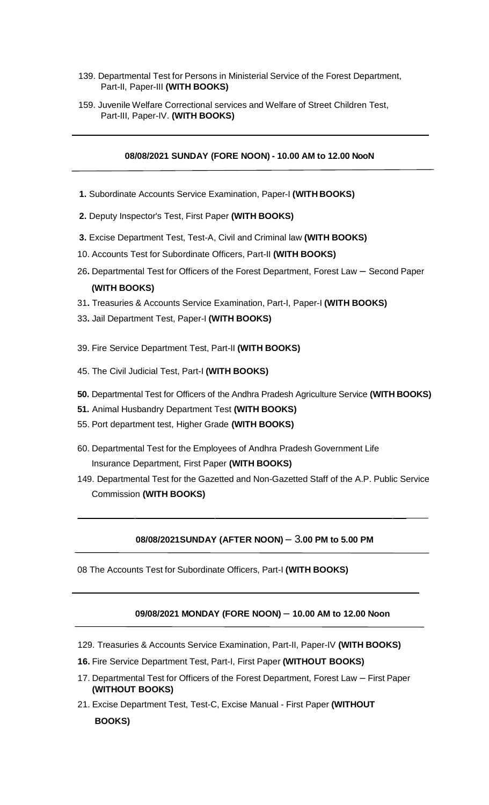- 139. Departmental Test for Persons in Ministerial Service of the Forest Department, Part-II, Paper-III **(WITH BOOKS)**
- 159. Juvenile Welfare Correctional services and Welfare of Street Children Test, Part-III, Paper-IV. **(WITH BOOKS)**

## **08/08/2021 SUNDAY (FORE NOON) - 10.00 AM to 12.00 NooN**

- **1.** Subordinate Accounts Service Examination, Paper-I **(WITH BOOKS)**
- **2.** Deputy Inspector's Test, First Paper **(WITH BOOKS)**
- **3.** Excise Department Test, Test-A, Civil and Criminal law **(WITH BOOKS)**
- 10. Accounts Test for Subordinate Officers, Part-II **(WITH BOOKS)**
- 26**.** Departmental Test for Officers of the Forest Department, Forest Law Second Paper **(WITH BOOKS)**
- 31**.** Treasuries & Accounts Service Examination, Part-I, Paper-I **(WITH BOOKS)**
- 33**.** Jail Department Test, Paper-I **(WITH BOOKS)**
- 39. Fire Service Department Test, Part-II **(WITH BOOKS)**
- 45. The Civil Judicial Test, Part-I **(WITH BOOKS)**
- **50.** Departmental Test for Officers of the Andhra Pradesh Agriculture Service **(WITH BOOKS)**
- **51.** Animal Husbandry Department Test **(WITH BOOKS)**
- 55. Port department test, Higher Grade **(WITH BOOKS)**
- 60. Departmental Test for the Employees of Andhra Pradesh Government Life Insurance Department, First Paper **(WITH BOOKS)**
- 149. Departmental Test for the Gazetted and Non-Gazetted Staff of the A.P. Public Service Commission **(WITH BOOKS)**

# **08/08/2021SUNDAY (AFTER NOON)** – 3**.00 PM to 5.00 PM**

08 The Accounts Test for Subordinate Officers, Part-I **(WITH BOOKS)**

## **09/08/2021 MONDAY (FORE NOON)** – **10.00 AM to 12.00 Noon**

- 129. Treasuries & Accounts Service Examination, Part-II, Paper-IV **(WITH BOOKS)**
- **16.** Fire Service Department Test, Part-I, First Paper **(WITHOUT BOOKS)**
- 17. Departmental Test for Officers of the Forest Department, Forest Law First Paper **(WITHOUT BOOKS)**
- 21. Excise Department Test, Test-C, Excise Manual First Paper **(WITHOUT BOOKS)**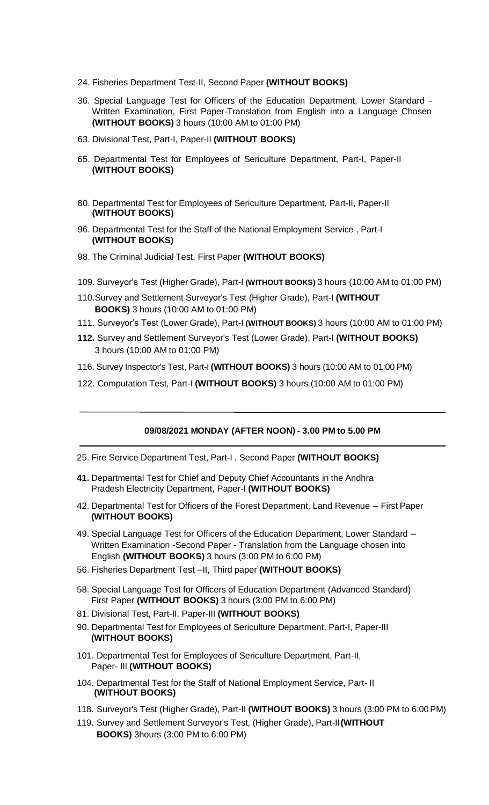- 24. Fisheries Department Test-II, Second Paper **(WITHOUT BOOKS)**
- 36. Special Language Test for Officers of the Education Department, Lower Standard Written Examination, First Paper-Translation from English into a Language Chosen **(WITHOUT BOOKS)** 3 hours (10:00 AM to 01:00 PM)
- 63. Divisional Test, Part-I, Paper-II **(WITHOUT BOOKS)**
- 65. Departmental Test for Employees of Sericulture Department, Part-I, Paper-II **(WITHOUT BOOKS)**
- 80. Departmental Test for Employees of Sericulture Department, Part-II, Paper-II **(WITHOUT BOOKS)**
- 96. Departmental Test for the Staff of the National Employment Service , Part-I **(WITHOUT BOOKS)**
- 98. The Criminal Judicial Test, First Paper **(WITHOUT BOOKS)**
- 109. Surveyor's Test (Higher Grade), Part-I **(WITHOUT BOOKS)** 3 hours (10:00 AM to 01:00 PM)
- 110.Survey and Settlement Surveyor's Test (Higher Grade), Part-I **(WITHOUT BOOKS)** 3 hours (10:00 AM to 01:00 PM)
- 111. Surveyor's Test (Lower Grade), Part-I **(WITHOUT BOOKS)** 3 hours (10:00 AM to 01:00 PM)
- **112.** Survey and Settlement Surveyor's Test (Lower Grade), Part-I **(WITHOUT BOOKS)** 3 hours (10:00 AM to 01:00 PM)
- 116. Survey Inspector's Test, Part-I **(WITHOUT BOOKS)** 3 hours (10:00 AM to 01:00 PM)
- 122. Computation Test, Part-I **(WITHOUT BOOKS)** 3 hours (10:00 AM to 01:00 PM)

#### **09/08/2021 MONDAY (AFTER NOON) - 3.00 PM to 5.00 PM**

- 25. Fire Service Department Test, Part-I , Second Paper **(WITHOUT BOOKS)**
- **41.** Departmental Test for Chief and Deputy Chief Accountants in the Andhra Pradesh Electricity Department, Paper-I **(WITHOUT BOOKS)**
- 42. Departmental Test for Officers of the Forest Department, Land Revenue First Paper **(WITHOUT BOOKS)**
- 49. Special Language Test for Officers of the Education Department, Lower Standard Written Examination -Second Paper - Translation from the Language chosen into English **(WITHOUT BOOKS)** 3 hours (3:00 PM to 6:00 PM)
- 56. Fisheries Department Test –II, Third paper **(WITHOUT BOOKS)**
- 58. Special Language Test for Officers of Education Department (Advanced Standard) First Paper **(WITHOUT BOOKS)** 3 hours (3:00 PM to 6:00 PM)
- 81. Divisional Test, Part-II, Paper-III **(WITHOUT BOOKS)**
- 90. Departmental Test for Employees of Sericulture Department, Part-I, Paper-III **(WITHOUT BOOKS)**
- 101. Departmental Test for Employees of Sericulture Department, Part-II, Paper- III **(WITHOUT BOOKS)**
- 104. Departmental Test for the Staff of National Employment Service, Part- II **(WITHOUT BOOKS)**
- 118. Surveyor's Test (Higher Grade), Part-II **(WITHOUT BOOKS)** 3 hours (3:00 PM to 6:00PM)
- 119. Survey and Settlement Surveyor's Test, (Higher Grade), Part-II**(WITHOUT BOOKS)** 3hours (3:00 PM to 6:00 PM)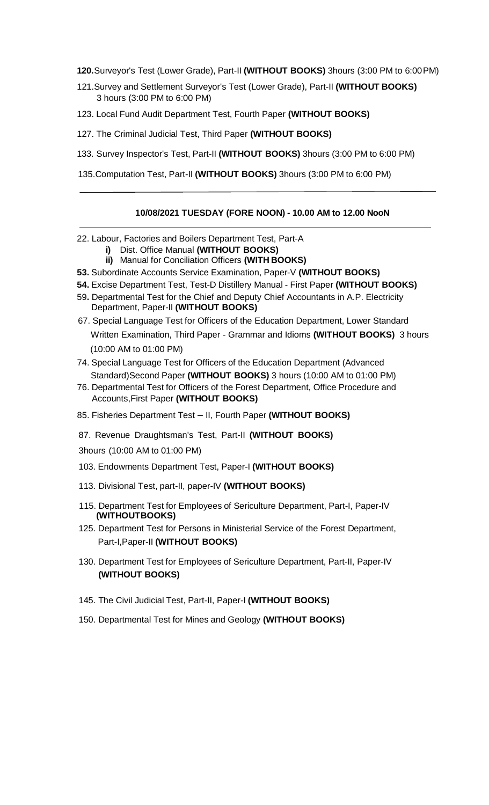**120.**Surveyor's Test (Lower Grade), Part-II **(WITHOUT BOOKS)** 3hours (3:00 PM to 6:00PM)

- 121.Survey and Settlement Surveyor's Test (Lower Grade), Part-II **(WITHOUT BOOKS)** 3 hours (3:00 PM to 6:00 PM)
- 123. Local Fund Audit Department Test, Fourth Paper **(WITHOUT BOOKS)**
- 127. The Criminal Judicial Test, Third Paper **(WITHOUT BOOKS)**
- 133. Survey Inspector's Test, Part-II **(WITHOUT BOOKS)** 3hours (3:00 PM to 6:00 PM)
- 135.Computation Test, Part-II **(WITHOUT BOOKS)** 3hours (3:00 PM to 6:00 PM)

# **10/08/2021 TUESDAY (FORE NOON) - 10.00 AM to 12.00 NooN**

- 22. Labour, Factories and Boilers Department Test, Part-A
	- **i)** Dist. Office Manual **(WITHOUT BOOKS)**
	- **ii)** Manual for Conciliation Officers **(WITH BOOKS)**
- **53.** Subordinate Accounts Service Examination, Paper-V **(WITHOUT BOOKS)**
- **54.** Excise Department Test, Test-D Distillery Manual First Paper **(WITHOUT BOOKS)**
- 59**.** Departmental Test for the Chief and Deputy Chief Accountants in A.P. Electricity Department, Paper-II **(WITHOUT BOOKS)**
- 67. Special Language Test for Officers of the Education Department, Lower Standard Written Examination, Third Paper - Grammar and Idioms **(WITHOUT BOOKS)** 3 hours (10:00 AM to 01:00 PM)
- 74. Special Language Test for Officers of the Education Department (Advanced Standard)Second Paper **(WITHOUT BOOKS)** 3 hours (10:00 AM to 01:00 PM)
- 76. Departmental Test for Officers of the Forest Department, Office Procedure and Accounts,First Paper **(WITHOUT BOOKS)**
- 85. Fisheries Department Test II, Fourth Paper **(WITHOUT BOOKS)**
- 87. Revenue Draughtsman's Test, Part-II **(WITHOUT BOOKS)**
- 3hours (10:00 AM to 01:00 PM)
- 103. Endowments Department Test, Paper-I **(WITHOUT BOOKS)**
- 113. Divisional Test, part-II, paper-IV **(WITHOUT BOOKS)**
- 115. Department Test for Employees of Sericulture Department, Part-I, Paper-IV **(WITHOUTBOOKS)**
- 125. Department Test for Persons in Ministerial Service of the Forest Department, Part-I,Paper-II **(WITHOUT BOOKS)**
- 130. Department Test for Employees of Sericulture Department, Part-II, Paper-IV  **(WITHOUT BOOKS)**
- 145. The Civil Judicial Test, Part-II, Paper-I **(WITHOUT BOOKS)**
- 150. Departmental Test for Mines and Geology **(WITHOUT BOOKS)**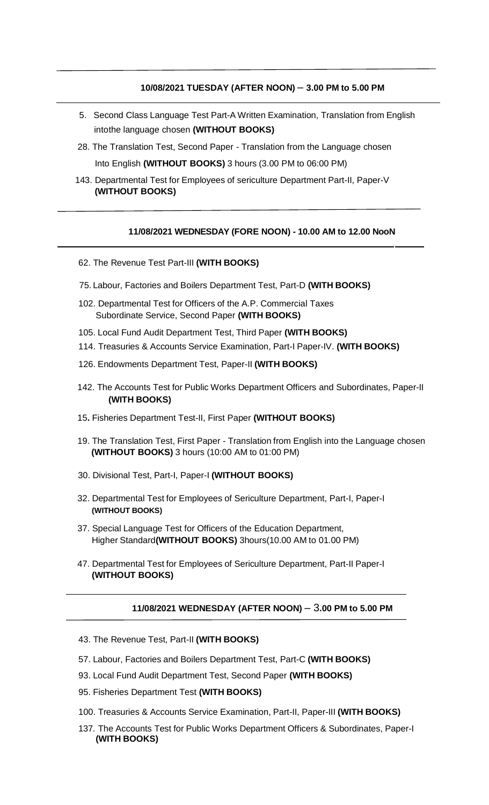# **10/08/2021 TUESDAY (AFTER NOON)** – **3.00 PM to 5.00 PM**

- 5. Second Class Language Test Part-A Written Examination, Translation from English intothe language chosen **(WITHOUT BOOKS)**
- 28. The Translation Test, Second Paper Translation from the Language chosen Into English **(WITHOUT BOOKS)** 3 hours (3.00 PM to 06:00 PM)
- 143. Departmental Test for Employees of sericulture Department Part-II, Paper-V  **(WITHOUT BOOKS)**

# **11/08/2021 WEDNESDAY (FORE NOON) - 10.00 AM to 12.00 NooN**

- 62. The Revenue Test Part-III **(WITH BOOKS)**
- 75. Labour, Factories and Boilers Department Test, Part-D **(WITH BOOKS)**
- 102. Departmental Test for Officers of the A.P. Commercial Taxes Subordinate Service, Second Paper **(WITH BOOKS)**
- 105. Local Fund Audit Department Test, Third Paper **(WITH BOOKS)**
- 114. Treasuries & Accounts Service Examination, Part-I Paper-IV. **(WITH BOOKS)**
- 126. Endowments Department Test, Paper-II **(WITH BOOKS)**
- 142. The Accounts Test for Public Works Department Officers and Subordinates, Paper-II **(WITH BOOKS)**
- 15**.** Fisheries Department Test-II, First Paper **(WITHOUT BOOKS)**
- 19. The Translation Test, First Paper Translation from English into the Language chosen **(WITHOUT BOOKS)** 3 hours (10:00 AM to 01:00 PM)
- 30. Divisional Test, Part-I, Paper-I **(WITHOUT BOOKS)**
- 32. Departmental Test for Employees of Sericulture Department, Part-I, Paper-I **(WITHOUT BOOKS)**
- 37. Special Language Test for Officers of the Education Department, Higher Standard**(WITHOUT BOOKS)** 3hours(10.00 AM to 01.00 PM)
- 47. Departmental Test for Employees of Sericulture Department, Part-II Paper-I **(WITHOUT BOOKS)**

#### **11/08/2021 WEDNESDAY (AFTER NOON)** – 3**.00 PM to 5.00 PM**

- 43. The Revenue Test, Part-II **(WITH BOOKS)**
- 57. Labour, Factories and Boilers Department Test, Part-C **(WITH BOOKS)**
- 93. Local Fund Audit Department Test, Second Paper **(WITH BOOKS)**
- 95. Fisheries Department Test **(WITH BOOKS)**
- 100. Treasuries & Accounts Service Examination, Part-II, Paper-III **(WITH BOOKS)**
- 137. The Accounts Test for Public Works Department Officers & Subordinates, Paper-I **(WITH BOOKS)**